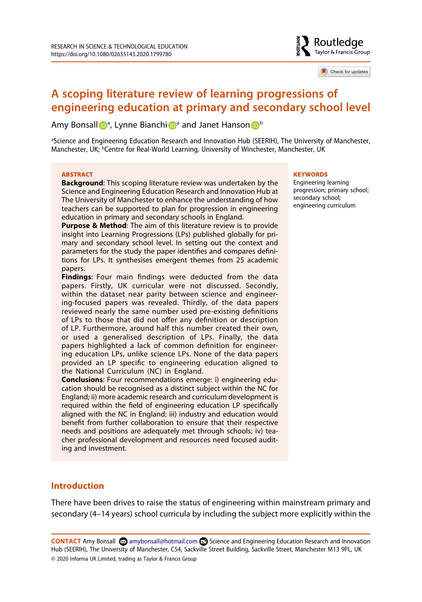# Routledae Taylor & Francis Group

Check for updates

# **A scoping literature review of learning progressions of engineering education at primary and secondary school level**

Amy Bons[a](#page-0-0)ll **D**<sup>a</sup>, Lynne Bianchi D<sup>a</sup> and Janet Hanson D<sup>[b](#page-0-1)</sup>

<span id="page-0-1"></span><span id="page-0-0"></span>aScience and Engineering Education Research and Innovation Hub (SEERIH), The University of Manchester, Manchester, UK; <sup>b</sup>Centre for Real-World Learning, University of Winchester, Manchester, UK

#### **ABSTRACT**

**Background**: This scoping literature review was undertaken by the Science and Engineering Education Research and Innovation Hub at The University of Manchester to enhance the understanding of how teachers can be supported to plan for progression in engineering education in primary and secondary schools in England.

**Purpose & Method**: The aim of this literature review is to provide insight into Learning Progressions (LPs) published globally for primary and secondary school level. In setting out the context and parameters for the study the paper identifies and compares definitions for LPs. It synthesises emergent themes from 25 academic papers.

**Findings**: Four main findings were deducted from the data papers. Firstly, UK curricular were not discussed. Secondly, within the dataset near parity between science and engineering-focused papers was revealed. Thirdly, of the data papers reviewed nearly the same number used pre-existing definitions of LPs to those that did not offer any definition or description of LP. Furthermore, around half this number created their own, or used a generalised description of LPs. Finally, the data papers highlighted a lack of common definition for engineering education LPs, unlike science LPs. None of the data papers provided an LP specific to engineering education aligned to the National Curriculum (NC) in England.

**Conclusions**: Four recommendations emerge: i) engineering education should be recognised as a distinct subject within the NC for England; ii) more academic research and curriculum development is required within the field of engineering education LP specifically aligned with the NC in England; iii) industry and education would benefit from further collaboration to ensure that their respective needs and positions are adequately met through schools; iv) teacher professional development and resources need focused auditing and investment.

## **Introduction**

There have been drives to raise the status of engineering within mainstream primary and secondary (4–14 years) school curricula by including the subject more explicitly within the

#### **CONTACT** Amy Bonsall **a**mybonsall@hotmail.com **B** Science and Engineering Education Research and Innovation Hub (SEERIH), The University of Manchester, C54, Sackville Street Building, Sackville Street, Manchester M13 9PL, UK © 2020 Informa UK Limited, trading as Taylor & Francis Group

#### **KEYWORDS**

Engineering learning progression; primary school; secondary school; engineering curriculum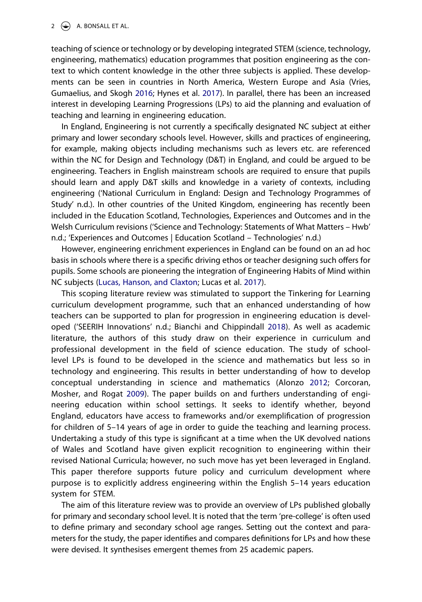#### $2 \quad \Leftrightarrow$  A. BONSALL ET AL.

teaching of science or technology or by developing integrated STEM (science, technology, engineering, mathematics) education programmes that position engineering as the context to which content knowledge in the other three subjects is applied. These developments can be seen in countries in North America, Western Europe and Asia (Vries, Gumaelius, and Skogh [2016;](#page-23-0) Hynes et al. [2017](#page-21-0)). In parallel, there has been an increased interest in developing Learning Progressions (LPs) to aid the planning and evaluation of teaching and learning in engineering education.

<span id="page-1-3"></span>In England, Engineering is not currently a specifically designated NC subject at either primary and lower secondary schools level. However, skills and practices of engineering, for example, making objects including mechanisms such as levers etc. are referenced within the NC for Design and Technology (D&T) in England, and could be argued to be engineering. Teachers in English mainstream schools are required to ensure that pupils should learn and apply D&T skills and knowledge in a variety of contexts, including engineering ('National Curriculum in England: Design and Technology Programmes of Study' n.d.). In other countries of the United Kingdom, engineering has recently been included in the Education Scotland, Technologies, Experiences and Outcomes and in the Welsh Curriculum revisions ('Science and Technology: Statements of What Matters – Hwb' n.d.; 'Experiences and Outcomes | Education Scotland – Technologies' n.d.)

However, engineering enrichment experiences in England can be found on an ad hoc basis in schools where there is a specific driving ethos or teacher designing such offers for pupils. Some schools are pioneering the integration of Engineering Habits of Mind within NC subjects [\(Lucas, Hanson, and Claxton](#page-22-0); Lucas et al. [2017\)](#page-22-1).

<span id="page-1-4"></span><span id="page-1-2"></span><span id="page-1-1"></span><span id="page-1-0"></span>This scoping literature review was stimulated to support the Tinkering for Learning curriculum development programme, such that an enhanced understanding of how teachers can be supported to plan for progression in engineering education is developed ('SEERIH Innovations' n.d.; Bianchi and Chippindall [2018](#page-20-0)). As well as academic literature, the authors of this study draw on their experience in curriculum and professional development in the field of science education. The study of schoollevel LPs is found to be developed in the science and mathematics but less so in technology and engineering. This results in better understanding of how to develop conceptual understanding in science and mathematics (Alonzo [2012](#page-20-1); Corcoran, Mosher, and Rogat [2009\)](#page-21-1). The paper builds on and furthers understanding of engineering education within school settings. It seeks to identify whether, beyond England, educators have access to frameworks and/or exemplification of progression for children of 5–14 years of age in order to guide the teaching and learning process. Undertaking a study of this type is significant at a time when the UK devolved nations of Wales and Scotland have given explicit recognition to engineering within their revised National Curricula; however, no such move has yet been leveraged in England. This paper therefore supports future policy and curriculum development where purpose is to explicitly address engineering within the English 5–14 years education system for STEM.

The aim of this literature review was to provide an overview of LPs published globally for primary and secondary school level. It is noted that the term 'pre-college' is often used to define primary and secondary school age ranges. Setting out the context and parameters for the study, the paper identifies and compares definitions for LPs and how these were devised. It synthesises emergent themes from 25 academic papers.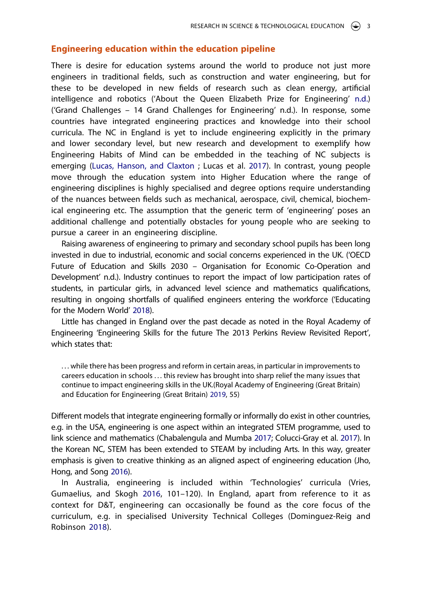### **Engineering education within the education pipeline**

<span id="page-2-0"></span>There is desire for education systems around the world to produce not just more engineers in traditional fields, such as construction and water engineering, but for these to be developed in new fields of research such as clean energy, artificial intelligence and robotics ('About the Queen Elizabeth Prize for Engineering' [n.d.](#page-20-2)) ('Grand Challenges – 14 Grand Challenges for Engineering' n.d.). In response, some countries have integrated engineering practices and knowledge into their school curricula. The NC in England is yet to include engineering explicitly in the primary and lower secondary level, but new research and development to exemplify how Engineering Habits of Mind can be embedded in the teaching of NC subjects is emerging ([Lucas, Hanson, and Claxton](#page-22-0) ; Lucas et al. [2017\)](#page-22-1). In contrast, young people move through the education system into Higher Education where the range of engineering disciplines is highly specialised and degree options require understanding of the nuances between fields such as mechanical, aerospace, civil, chemical, biochemical engineering etc. The assumption that the generic term of 'engineering' poses an additional challenge and potentially obstacles for young people who are seeking to pursue a career in an engineering discipline.

Raising awareness of engineering to primary and secondary school pupils has been long invested in due to industrial, economic and social concerns experienced in the UK. ('OECD Future of Education and Skills 2030 – Organisation for Economic Co-Operation and Development' n.d.). Industry continues to report the impact of low participation rates of students, in particular girls, in advanced level science and mathematics qualifications, resulting in ongoing shortfalls of qualified engineers entering the workforce ('Educating for the Modern World' [2018](#page-21-2)).

<span id="page-2-3"></span>Little has changed in England over the past decade as noted in the Royal Academy of Engineering 'Engineering Skills for the future The 2013 Perkins Review Revisited Report', which states that:

<span id="page-2-5"></span>. . . while there has been progress and reform in certain areas, in particular in improvements to careers education in schools . . . this review has brought into sharp relief the many issues that continue to impact engineering skills in the UK.(Royal Academy of Engineering (Great Britain) and Education for Engineering (Great Britain) [2019](#page-22-2), 55)

<span id="page-2-1"></span>Different models that integrate engineering formally or informally do exist in other countries, e.g. in the USA, engineering is one aspect within an integrated STEM programme, used to link science and mathematics (Chabalengula and Mumba [2017](#page-21-3); Colucci-Gray et al. [2017\)](#page-21-4). In the Korean NC, STEM has been extended to STEAM by including Arts. In this way, greater emphasis is given to creative thinking as an aligned aspect of engineering education (Jho, Hong, and Song [2016](#page-21-5)).

<span id="page-2-4"></span><span id="page-2-2"></span>In Australia, engineering is included within 'Technologies' curricula (Vries, Gumaelius, and Skogh [2016,](#page-23-0) 101–120). In England, apart from reference to it as context for D&T, engineering can occasionally be found as the core focus of the curriculum, e.g. in specialised University Technical Colleges (Dominguez-Reig and Robinson [2018](#page-21-6)).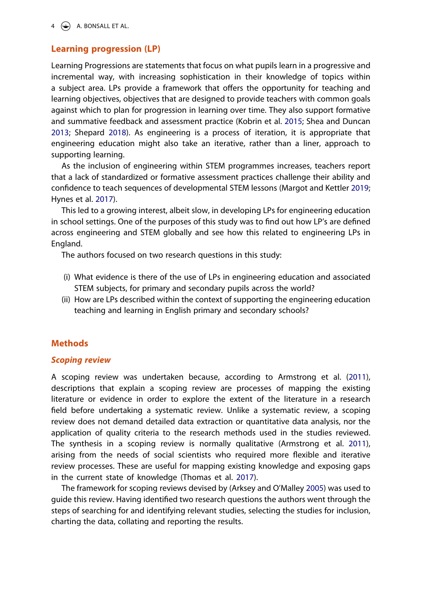# **Learning progression (LP)**

Learning Progressions are statements that focus on what pupils learn in a progressive and incremental way, with increasing sophistication in their knowledge of topics within a subject area. LPs provide a framework that offers the opportunity for teaching and learning objectives, objectives that are designed to provide teachers with common goals against which to plan for progression in learning over time. They also support formative and summative feedback and assessment practice (Kobrin et al. [2015](#page-22-3); Shea and Duncan [2013;](#page-22-4) Shepard [2018\)](#page-22-5). As engineering is a process of iteration, it is appropriate that engineering education might also take an iterative, rather than a liner, approach to supporting learning.

<span id="page-3-4"></span><span id="page-3-3"></span><span id="page-3-2"></span>As the inclusion of engineering within STEM programmes increases, teachers report that a lack of standardized or formative assessment practices challenge their ability and confidence to teach sequences of developmental STEM lessons (Margot and Kettler [2019](#page-22-6); Hynes et al. [2017](#page-21-0)).

This led to a growing interest, albeit slow, in developing LPs for engineering education in school settings. One of the purposes of this study was to find out how LP's are defined across engineering and STEM globally and see how this related to engineering LPs in England.

The authors focused on two research questions in this study:

- (i) What evidence is there of the use of LPs in engineering education and associated STEM subjects, for primary and secondary pupils across the world?
- (ii) How are LPs described within the context of supporting the engineering education teaching and learning in English primary and secondary schools?

# **Methods**

# *Scoping review*

A scoping review was undertaken because, according to Armstrong et al. ([2011](#page-20-3)), descriptions that explain a scoping review are processes of mapping the existing literature or evidence in order to explore the extent of the literature in a research field before undertaking a systematic review. Unlike a systematic review, a scoping review does not demand detailed data extraction or quantitative data analysis, nor the application of quality criteria to the research methods used in the studies reviewed. The synthesis in a scoping review is normally qualitative (Armstrong et al. [2011](#page-20-3)), arising from the needs of social scientists who required more flexible and iterative review processes. These are useful for mapping existing knowledge and exposing gaps in the current state of knowledge (Thomas et al. [2017\)](#page-23-1).

<span id="page-3-5"></span><span id="page-3-1"></span><span id="page-3-0"></span>The framework for scoping reviews devised by (Arksey and O'Malley [2005](#page-20-4)) was used to guide this review. Having identified two research questions the authors went through the steps of searching for and identifying relevant studies, selecting the studies for inclusion, charting the data, collating and reporting the results.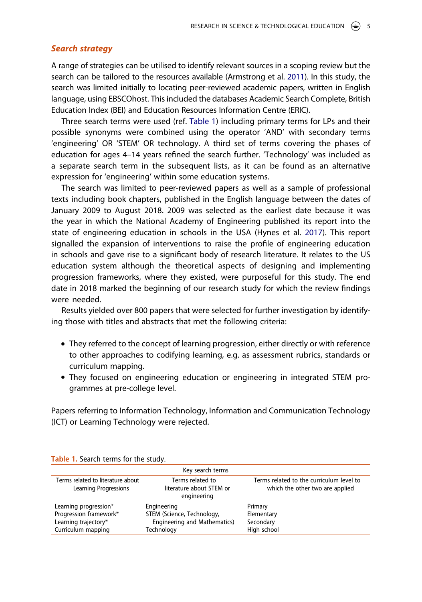#### *Search strategy*

A range of strategies can be utilised to identify relevant sources in a scoping review but the search can be tailored to the resources available (Armstrong et al. [2011](#page-20-3)). In this study, the search was limited initially to locating peer-reviewed academic papers, written in English language, using EBSCOhost. This included the databases Academic Search Complete, British Education Index (BEI) and Education Resources Information Centre (ERIC).

Three search terms were used (ref. [Table 1\)](#page-4-0) including primary terms for LPs and their possible synonyms were combined using the operator 'AND' with secondary terms 'engineering' OR 'STEM' OR technology. A third set of terms covering the phases of education for ages 4–14 years refined the search further. 'Technology' was included as a separate search term in the subsequent lists, as it can be found as an alternative expression for 'engineering' within some education systems.

The search was limited to peer-reviewed papers as well as a sample of professional texts including book chapters, published in the English language between the dates of January 2009 to August 2018. 2009 was selected as the earliest date because it was the year in which the National Academy of Engineering published its report into the state of engineering education in schools in the USA (Hynes et al. [2017](#page-21-0)). This report signalled the expansion of interventions to raise the profile of engineering education in schools and gave rise to a significant body of research literature. It relates to the US education system although the theoretical aspects of designing and implementing progression frameworks, where they existed, were purposeful for this study. The end date in 2018 marked the beginning of our research study for which the review findings were needed.

Results yielded over 800 papers that were selected for further investigation by identifying those with titles and abstracts that met the following criteria:

- They referred to the concept of learning progression, either directly or with reference to other approaches to codifying learning, e.g. as assessment rubrics, standards or curriculum mapping.
- They focused on engineering education or engineering in integrated STEM programmes at pre-college level.

Papers referring to Information Technology, Information and Communication Technology (ICT) or Learning Technology were rejected.

|                                                            | Key search terms                                            |                                                                             |
|------------------------------------------------------------|-------------------------------------------------------------|-----------------------------------------------------------------------------|
| Terms related to literature about<br>Learning Progressions | Terms related to<br>literature about STEM or<br>engineering | Terms related to the curriculum level to<br>which the other two are applied |
| Learning progression*                                      | Engineering                                                 | Primary                                                                     |
| Progression framework*                                     | STEM (Science, Technology,                                  | Elementary                                                                  |
| Learning trajectory*                                       | Engineering and Mathematics)                                | Secondary                                                                   |
| Curriculum mapping                                         | Technology                                                  | High school                                                                 |

<span id="page-4-0"></span>**Table 1.** Search terms for the study.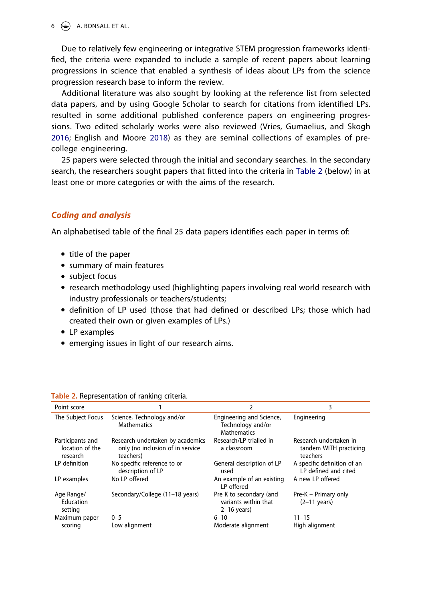$6 \quad (*)$  A. BONSALL ET AL.

Due to relatively few engineering or integrative STEM progression frameworks identified, the criteria were expanded to include a sample of recent papers about learning progressions in science that enabled a synthesis of ideas about LPs from the science progression research base to inform the review.

Additional literature was also sought by looking at the reference list from selected data papers, and by using Google Scholar to search for citations from identified LPs. resulted in some additional published conference papers on engineering progressions. Two edited scholarly works were also reviewed (Vries, Gumaelius, and Skogh [2016;](#page-23-0) English and Moore [2018](#page-21-7)) as they are seminal collections of examples of precollege engineering.

<span id="page-5-1"></span>25 papers were selected through the initial and secondary searches. In the secondary search, the researchers sought papers that fitted into the criteria in [Table 2](#page-5-0) (below) in at least one or more categories or with the aims of the research.

# *Coding and analysis*

An alphabetised table of the final 25 data papers identifies each paper in terms of:

- title of the paper
- summary of main features
- subject focus
- research methodology used (highlighting papers involving real world research with industry professionals or teachers/students;
- definition of LP used (those that had defined or described LPs; those which had created their own or given examples of LPs.)
- LP examples
- emerging issues in light of our research aims.

| Point score                                     |                                                                                   | 2                                                                   | 3                                                            |
|-------------------------------------------------|-----------------------------------------------------------------------------------|---------------------------------------------------------------------|--------------------------------------------------------------|
| The Subject Focus                               | Science, Technology and/or<br><b>Mathematics</b>                                  | Engineering and Science,<br>Technology and/or<br><b>Mathematics</b> | Engineering                                                  |
| Participants and<br>location of the<br>research | Research undertaken by academics<br>only (no inclusion of in service<br>teachers) | Research/LP trialled in<br>a classroom                              | Research undertaken in<br>tandem WITH practicing<br>teachers |
| LP definition                                   | No specific reference to or<br>description of LP                                  | General description of LP<br>used                                   | A specific definition of an<br>LP defined and cited          |
| LP examples                                     | No LP offered                                                                     | An example of an existing<br>LP offered                             | A new LP offered                                             |
| Age Range/<br>Education<br>setting              | Secondary/College (11-18 years)                                                   | Pre K to secondary (and<br>variants within that<br>$2-16$ years)    | Pre-K - Primary only<br>$(2-11$ years)                       |
| Maximum paper                                   | $0 - 5$                                                                           | $6 - 10$                                                            | $11 - 15$                                                    |
| scoring                                         | Low alignment                                                                     | Moderate alignment                                                  | High alignment                                               |

#### <span id="page-5-0"></span>**Table 2.** Representation of ranking criteria.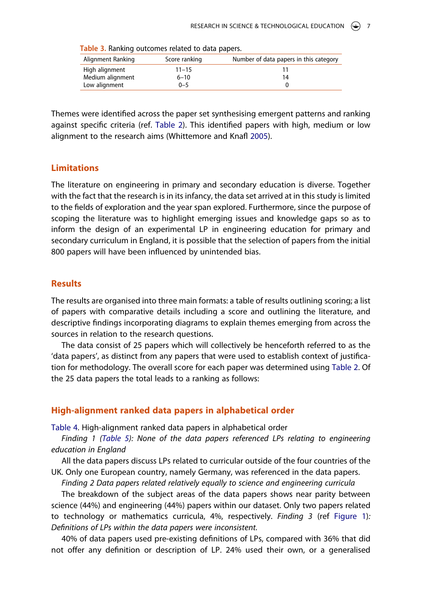| Alignment Ranking | Score ranking | Number of data papers in this category |
|-------------------|---------------|----------------------------------------|
| High alignment    | $11 - 15$     |                                        |
| Medium alignment  | $6 - 10$      | 14                                     |
| Low alignment     | 0-5           |                                        |

**Table 3.** Ranking outcomes related to data papers.

<span id="page-6-0"></span>Themes were identified across the paper set synthesising emergent patterns and ranking against specific criteria (ref. [Table 2\)](#page-5-0). This identified papers with high, medium or low alignment to the research aims (Whittemore and Knafl [2005](#page-23-2)).

### **Limitations**

The literature on engineering in primary and secondary education is diverse. Together with the fact that the research is in its infancy, the data set arrived at in this study is limited to the fields of exploration and the year span explored. Furthermore, since the purpose of scoping the literature was to highlight emerging issues and knowledge gaps so as to inform the design of an experimental LP in engineering education for primary and secondary curriculum in England, it is possible that the selection of papers from the initial 800 papers will have been influenced by unintended bias.

### **Results**

The results are organised into three main formats: a table of results outlining scoring; a list of papers with comparative details including a score and outlining the literature, and descriptive findings incorporating diagrams to explain themes emerging from across the sources in relation to the research questions.

The data consist of 25 papers which will collectively be henceforth referred to as the 'data papers', as distinct from any papers that were used to establish context of justification for methodology. The overall score for each paper was determined using [Table 2.](#page-5-0) Of the 25 data papers the total leads to a ranking as follows:

#### **High-alignment ranked data papers in alphabetical order**

[Table 4.](#page-7-0) High-alignment ranked data papers in alphabetical order

*Finding 1 [\(Table 5\)](#page-14-0): None of the data papers referenced LPs relating to engineering education in England*

All the data papers discuss LPs related to curricular outside of the four countries of the UK. Only one European country, namely Germany, was referenced in the data papers.

*Finding 2 Data papers related relatively equally to science and engineering curricula*

The breakdown of the subject areas of the data papers shows near parity between science (44%) and engineering (44%) papers within our dataset. Only two papers related to technology or mathematics curricula, 4%, respectively. *Finding 3* (ref [Figure 1](#page-14-1))*: Definitions of LPs within the data papers were inconsistent.*

40% of data papers used pre-existing definitions of LPs, compared with 36% that did not offer any definition or description of LP. 24% used their own, or a generalised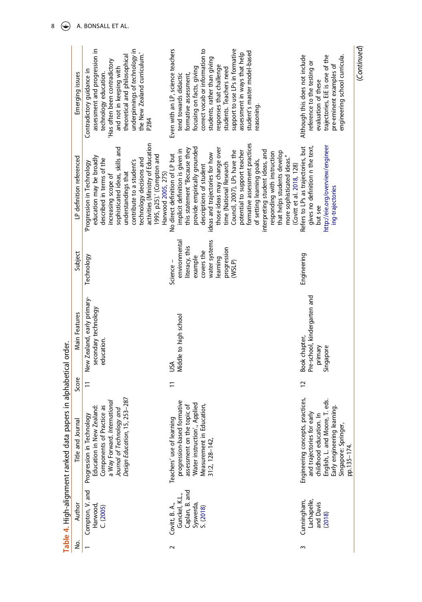<span id="page-7-3"></span><span id="page-7-2"></span><span id="page-7-1"></span><span id="page-7-0"></span>

| Compton, V. and<br>Harwood,<br>C. (2005)                                     | a Way Forward. International<br>Components of Practice as<br>Progression in Technology<br>Education in New Zealand:<br>Title and Journal                                                               | Score<br>$\overline{1}$ | New Zealand, early primary-<br>secondary technology<br>Main Features<br>education. | Subject<br>Technology                                                                                                      | education may be broadly<br>LP definition referenced<br>described in terms of the<br>Progression in Technology<br>increasing scope of                                                                                                                                                                                                                                                                                                                                                                                                                | assessment and progression in<br>'Has often been contradictory<br>Contradictory guidance in<br>technology education.<br>Emerging issues                                                                                                                                                                                                                     |
|------------------------------------------------------------------------------|--------------------------------------------------------------------------------------------------------------------------------------------------------------------------------------------------------|-------------------------|------------------------------------------------------------------------------------|----------------------------------------------------------------------------------------------------------------------------|------------------------------------------------------------------------------------------------------------------------------------------------------------------------------------------------------------------------------------------------------------------------------------------------------------------------------------------------------------------------------------------------------------------------------------------------------------------------------------------------------------------------------------------------------|-------------------------------------------------------------------------------------------------------------------------------------------------------------------------------------------------------------------------------------------------------------------------------------------------------------------------------------------------------------|
|                                                                              | Journal of Technology and<br>Design Education, 15, 253–287                                                                                                                                             |                         |                                                                                    |                                                                                                                            | activities (Ministry of Education<br>sophisticated ideas, skills and<br>1995, p25).' (Compton and<br>technology decisions and<br>contribute to a student's<br>understandings that<br>Harwood 2005, 275)                                                                                                                                                                                                                                                                                                                                              | underpinnings of technology in<br>theoretical and philosophical<br>the New Zealand curriculum.<br>and not in keeping with<br>P284                                                                                                                                                                                                                           |
| Caplan, B. and<br>Covitt, B. A.,<br>Gunckel, K.L.,<br>Syswerda,<br>S. (2018) | formative<br>Applied<br>progression-based formativ<br>assessment on the topic of<br>Measurement in Education,<br>Teachers' use of learning<br>'Water instruction'.<br>$31:2, 128-142,$                 | $\overline{1}$          | Middle to high school<br>υsη                                                       | water systems<br>environmental<br>literacy, this<br>progression<br>covers the<br>example<br>learning<br>Science -<br>(WSLP | formative assessment practices<br>provide empirically grounded<br>those ideas may change over<br>this statement "Because they<br>implicit definition is given in<br>interpreting student ideas, and<br>Council, 2007), LPs have the<br>potential to support teacher<br>that helps students develop<br>responding with instruction<br>ideas and trajectories for how<br>No direct definition of LP but<br>more sophisticated ideas."<br>of setting learning goals,<br>time (National Research<br>(Covitt et al. 2018, 128)<br>descriptions of student | Even with an LP, science teachers<br>correct vocab or information to<br>support to use LPs in formative<br>student's master model-based<br>assessment in ways that help<br>students, rather than giving<br>responses that challenge<br>focusing on facts, giving<br>students. Teachers need<br>formative assessment,<br>tend towards didactic<br>reasoning. |
| Cunningham,<br>Lachapelle,<br>and Davis<br>(2018)                            | Engineering concepts, practices,<br>English, L. and Moore, T. eds.<br>earning.<br>early<br>childhood education. In<br>Singapore: Springer,<br>and trajectories for<br>Early engineering<br>pp.135-174. | $\overline{1}$          | Pre-school, kindergarten and<br>Book chapter,<br>primary<br>Singapore              | Engineering                                                                                                                | http://eie.org/overview/engineer<br>Refers to LPs as trajectories, but<br>gives no definition n the text,<br>ing-trajectories<br>but see                                                                                                                                                                                                                                                                                                                                                                                                             | engineering school curricula.<br>Although this does not include<br>trajectories, EiE is one of the<br>reference to the testing or<br>pre-eminent examples of<br>evaluation of these                                                                                                                                                                         |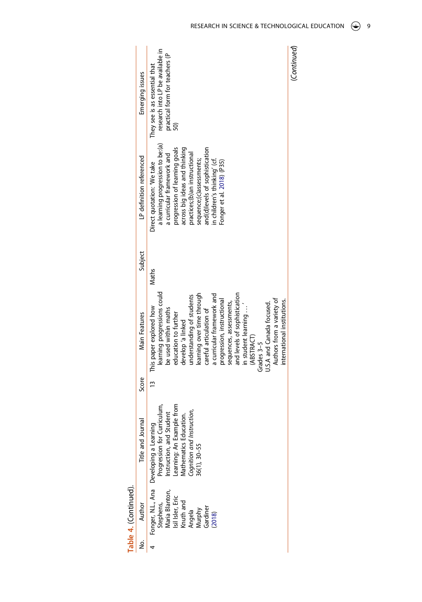<span id="page-8-0"></span>

|                       |                          |                                                                                                                                                                                                                                                                                                                                                                                                                                                                                     | (Continued) |
|-----------------------|--------------------------|-------------------------------------------------------------------------------------------------------------------------------------------------------------------------------------------------------------------------------------------------------------------------------------------------------------------------------------------------------------------------------------------------------------------------------------------------------------------------------------|-------------|
|                       | Emerging issues          | research into LP be available in<br>practical form for teachers (P<br>They see is as essential that                                                                                                                                                                                                                                                                                                                                                                                 |             |
|                       |                          | 50)                                                                                                                                                                                                                                                                                                                                                                                                                                                                                 |             |
|                       |                          | a learning progression to be:(a)                                                                                                                                                                                                                                                                                                                                                                                                                                                    |             |
|                       | LP definition referenced | across big ideas and thinking<br>progression of learning goals<br>and(d)levels of sophistication<br>practices;(b)an instructional<br>a curricular framework and<br>sequence;(c)assessments;<br>in children's thinking' (cf.<br>Fonger et al. 2018) (P35)<br>Direct quotation: 'We take                                                                                                                                                                                              |             |
|                       |                          |                                                                                                                                                                                                                                                                                                                                                                                                                                                                                     |             |
|                       | Subject                  |                                                                                                                                                                                                                                                                                                                                                                                                                                                                                     |             |
|                       |                          | Maths                                                                                                                                                                                                                                                                                                                                                                                                                                                                               |             |
|                       | Main Features            | learning progressions could<br>learning over time through<br>a curricular framework and<br>and levels of sophistication<br>understanding of students<br>progression, instructional<br>Authors from a variety of<br>international institutions<br>sequences, assessments,<br>U.S.A and Canada focused.<br>This paper explored how<br>careful articulation of<br>in student learning<br>be used within maths<br>education to further<br>develop 'a linked<br>(ABSTRACT)<br>Grades 3-5 |             |
|                       | Score                    | $\frac{1}{2}$                                                                                                                                                                                                                                                                                                                                                                                                                                                                       |             |
|                       | Title and Journal        | Learning: An Example from<br>Mathematics Education.<br>Progression for Curriculum,<br>ruction,<br>Instruction, and Student<br>Fonger, N.L., Ana Developing a Learnin<br>Cognition and Insti<br>$30 - 55$                                                                                                                                                                                                                                                                            |             |
| Table 4. (Continued). | Author                   | Aaria Blanton,<br>Isil Isler, Eric<br>Knuth and<br>Stephens,<br>Angela<br>Murphy<br>Gardiner<br>(2018)                                                                                                                                                                                                                                                                                                                                                                              |             |
|                       | ġ                        |                                                                                                                                                                                                                                                                                                                                                                                                                                                                                     |             |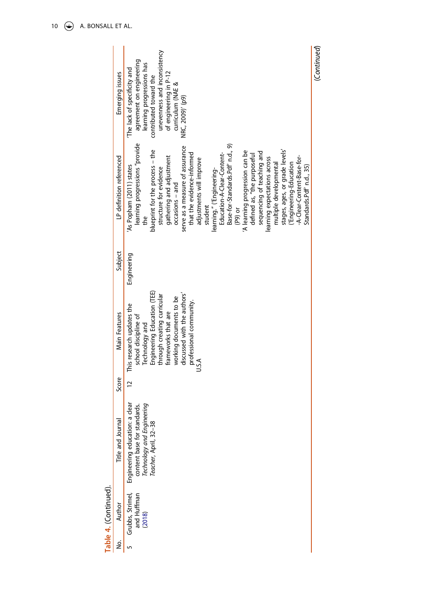<span id="page-9-0"></span>

|                       |                          |                                                                                                                                                                                                                                                                                                                                                                                                                                                                                                                                                                                                                                                                               | (Continued) |
|-----------------------|--------------------------|-------------------------------------------------------------------------------------------------------------------------------------------------------------------------------------------------------------------------------------------------------------------------------------------------------------------------------------------------------------------------------------------------------------------------------------------------------------------------------------------------------------------------------------------------------------------------------------------------------------------------------------------------------------------------------|-------------|
|                       | Emerging issues          | unevenness and inconsistency<br>agreement on engineering<br>learning progressions has<br>The lack of specificity and<br>of engineering in P-12<br>contributed toward the<br>curriculum (NAE &<br>NRC, 2009)' (p9)                                                                                                                                                                                                                                                                                                                                                                                                                                                             |             |
|                       | LP definition referenced | learning progressions "provide<br>Base-for-Standards.Pdf n.d., 9)<br>serve as a measure of assurance<br>blueprint for the process - the<br>'A learning progression can be<br>stages, ages, or grade levels'<br>sequencing of teaching and<br>that the evidence-informed<br>defined as, "the purposeful<br>Education-A-Clear-Content-<br>gathering and adjustment<br>-A-Clear-Content-Base-for-<br>learning expectations across<br>adjustments will improve<br>('Engineering-Education<br>multiple developmental<br>Standards.Pdf' n.d., 35)<br>As Popham (2011) states<br>structure for evidence<br>learning." ('Engineering-<br>occasions - and<br>student<br>(P9) or<br>the |             |
|                       | Subject                  | Engineering                                                                                                                                                                                                                                                                                                                                                                                                                                                                                                                                                                                                                                                                   |             |
|                       | <b>Main Features</b>     | Engineering Education (TEE)<br>discussed with the authors'<br>through creating curricular<br>working documents to be<br>professional community.<br>This research updates the<br>frameworks that are<br>school discipline of<br>Technology and<br>U.S.A                                                                                                                                                                                                                                                                                                                                                                                                                        |             |
|                       | Score                    | $\overline{c}$                                                                                                                                                                                                                                                                                                                                                                                                                                                                                                                                                                                                                                                                |             |
|                       | Title and Journal        | a clear<br>content base for standards.<br>Technology and Engineering<br>Teacher, April, 32–38<br>Engineering education:                                                                                                                                                                                                                                                                                                                                                                                                                                                                                                                                                       |             |
| Table 4. (Continued). | Author                   | and Huffman<br>(2018)<br>Grubbs, Strimel,                                                                                                                                                                                                                                                                                                                                                                                                                                                                                                                                                                                                                                     |             |
|                       | g.                       |                                                                                                                                                                                                                                                                                                                                                                                                                                                                                                                                                                                                                                                                               |             |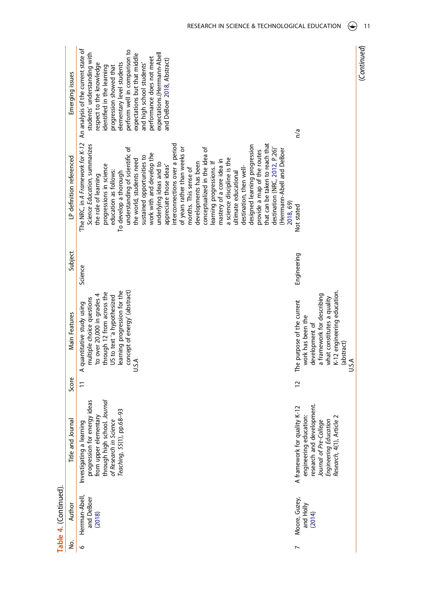<span id="page-10-2"></span><span id="page-10-1"></span><span id="page-10-0"></span>

|                       |                          |                                                                                                                                                                                                                                                                                                                                                                                                                                                                                                                                                                                                                                                                                                                                                                                                                                         |                                                                                                                                                                                     | (Continued) |
|-----------------------|--------------------------|-----------------------------------------------------------------------------------------------------------------------------------------------------------------------------------------------------------------------------------------------------------------------------------------------------------------------------------------------------------------------------------------------------------------------------------------------------------------------------------------------------------------------------------------------------------------------------------------------------------------------------------------------------------------------------------------------------------------------------------------------------------------------------------------------------------------------------------------|-------------------------------------------------------------------------------------------------------------------------------------------------------------------------------------|-------------|
|                       | Emerging issues          | An analysis of the current state of<br>perform well in comparison to<br>expectations but that middle<br>expectations. (Herrmann-Abell<br>students' understanding with<br>performance does not meet<br>and DeBoer 2018, Abstract)<br>respect to the knowledge<br>elementary level students<br>and high school students'<br>identified in the learning<br>progression showed that                                                                                                                                                                                                                                                                                                                                                                                                                                                         | n/a                                                                                                                                                                                 |             |
|                       | LP definition referenced | The NRC, in A Framework for K-12<br>that can be taken to reach that<br>interconnections over a period<br>Science Education, summarizes<br>designed learning progression<br>understanding of scientific of<br>of years rather than weeks or<br>conceptualized in the idea of<br>destination (NRC, 2012, P.26)'<br>(Herrmann-Abell and DeBoer<br>provide a map of the routes<br>work with and develop the<br>sustained opportunities to<br>a science discipline is the<br>mastery of a core idea in<br>the world, students need<br>learning progressions. If<br>developments has been<br>underlying ideas and to<br>progressions in science<br>appreciate those ideas'<br>destination, then well-<br>months. This sense of<br>education as follows:<br>To develop a thorough<br>ultimate educational<br>the role of learning<br>2018, 69) | Not stated                                                                                                                                                                          |             |
|                       | Subject                  | Science                                                                                                                                                                                                                                                                                                                                                                                                                                                                                                                                                                                                                                                                                                                                                                                                                                 | Engineering                                                                                                                                                                         |             |
|                       | <b>Main Features</b>     | learning progression for the<br>concept of energy' (abstract)<br>through 12 from across the<br>to over 20,000 in grades 4<br>US to text 'a hypothesized<br>multiple choice questions<br>quantitative study using<br>U.S.A<br>⋖                                                                                                                                                                                                                                                                                                                                                                                                                                                                                                                                                                                                          | K-12 engineering education.<br>a framework for describing<br>what constitutes a quality<br>The purpose of the current<br>work has been the<br>development of<br>(abstract)<br>U.S.A |             |
|                       | Score                    | Ξ                                                                                                                                                                                                                                                                                                                                                                                                                                                                                                                                                                                                                                                                                                                                                                                                                                       | $\overline{c}$                                                                                                                                                                      |             |
|                       | Title and Journal        | through high school. Journal<br>Investigating a learning<br>progression for energy ideas<br>Teaching, 55(1), pp.68-93<br>from upper elementary<br>of Research in Science                                                                                                                                                                                                                                                                                                                                                                                                                                                                                                                                                                                                                                                                | research and development.<br>A framework for quality K-12<br>engineering education:<br>Research, 4(1), Article 2<br>Engineering Education<br>Journal of Pre-College                 |             |
| Table 4. (Continued). | Author                   | Herrman-Abell,<br>and DeBoer<br>(2018)                                                                                                                                                                                                                                                                                                                                                                                                                                                                                                                                                                                                                                                                                                                                                                                                  | Moore, Guzey,<br>and Holly<br>(2014)                                                                                                                                                |             |
|                       | غ<br>No                  | $\circ$                                                                                                                                                                                                                                                                                                                                                                                                                                                                                                                                                                                                                                                                                                                                                                                                                                 | $\overline{ }$                                                                                                                                                                      |             |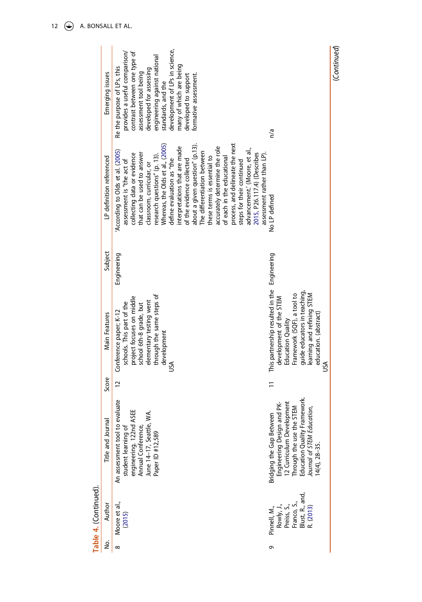<span id="page-11-1"></span><span id="page-11-0"></span>

| Emerging issues                 | development of LPs in science,<br>provides a useful comparison/<br>contrast between one type of<br>engineering against national<br>many of which are being<br>Re the purpose of LPs, this<br>developed for assessing<br>assessment tool being<br>formative assessment.<br>developed to support<br>standards, and the                                                                                                                                                                                                                                                                                                                                 | n/a                                                                                                                                                                                                         |
|---------------------------------|------------------------------------------------------------------------------------------------------------------------------------------------------------------------------------------------------------------------------------------------------------------------------------------------------------------------------------------------------------------------------------------------------------------------------------------------------------------------------------------------------------------------------------------------------------------------------------------------------------------------------------------------------|-------------------------------------------------------------------------------------------------------------------------------------------------------------------------------------------------------------|
| LP definition referenced        | about a given question" (p.13).<br>process, and delineate the next<br>Whereas, the Olds et al., (2005)<br>interpretations that are made<br>accurately determine the role<br>advancement.' (Moore, et al.,<br>According to Olds et al. (2005)<br>The differentiation between<br>collecting data or evidence<br>that can be used to answer<br>2015, P26.117.4) (Describes<br>assessment rather than LP).<br>research questions" (p. 13).<br>these terms is essential to<br>of each in the educational<br>of the evidence collected<br>define evaluation as "the<br>assessment is "the act of<br>steps for their continued<br>classroom, curricular, or | No LP defined                                                                                                                                                                                               |
| Subject                         | Engineering                                                                                                                                                                                                                                                                                                                                                                                                                                                                                                                                                                                                                                          | Engineering                                                                                                                                                                                                 |
| <b>Main Features</b>            | through the same steps of<br>project focuses on middle<br>elementary testing went<br>schools. This part of the<br>school 6th-8 grade, but<br>Conference paper; K-12<br>development<br>ŠΝ                                                                                                                                                                                                                                                                                                                                                                                                                                                             | This partnership resulted in the<br>guide educators in teaching,<br>Framework (SQF), a tool to<br>learning and refining STEM<br>development of the STEM<br>education. (abstract)<br>Education Quality<br>ŠΑ |
| Score                           | $\tilde{c}$                                                                                                                                                                                                                                                                                                                                                                                                                                                                                                                                                                                                                                          |                                                                                                                                                                                                             |
| <b>Title and Journal</b>        | An assessment tool to evaluate<br>student learning of<br>engineering. 122nd ASEE<br>June 14-17, Seattle, WA.<br>Annual Conference,<br>Paper ID #12,589                                                                                                                                                                                                                                                                                                                                                                                                                                                                                               | Education Quality Framework.<br>12 Curriculum Development<br>Engineering Design and PK-<br>Through the use the STEM<br>lournal of STEM Education,<br>Bridging the Gap Between<br>$(4(4), 28 - 35)$          |
| Table 4. (Continued).<br>Author | Moore et al.,<br>(2015)                                                                                                                                                                                                                                                                                                                                                                                                                                                                                                                                                                                                                              | Blust, R., and,<br>Rowly, J.,<br>Preiss, S.,<br>Franco, S.,<br>Pinnell, M.,<br>3. (2013)                                                                                                                    |
| ġ                               | $\infty$                                                                                                                                                                                                                                                                                                                                                                                                                                                                                                                                                                                                                                             | o                                                                                                                                                                                                           |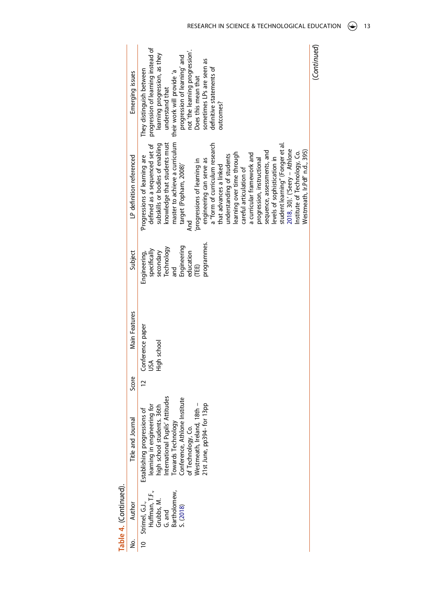<span id="page-12-0"></span>

| Emerging issues          | progression of learning instead of<br>progression of learning' and<br>not 'the learning progression'<br>learning progression, as they<br>sometimes LPs are seen as<br>definitive statements of<br>They distinguish between<br>their work will provide 'a<br>Does this mean that<br>understand that<br>outcomes?                                                                                                                                                                                                                                                                                                                                                                |
|--------------------------|--------------------------------------------------------------------------------------------------------------------------------------------------------------------------------------------------------------------------------------------------------------------------------------------------------------------------------------------------------------------------------------------------------------------------------------------------------------------------------------------------------------------------------------------------------------------------------------------------------------------------------------------------------------------------------|
| LP definition referenced | master to achieve a curriculum<br>knowledge that students must<br>subskills or bodies of enabling<br>a "form of curriculum research<br>student learning" (Fonger et al.<br>defined as a sequenced set of<br>2018, 30).' ('Seery - Athlone<br>Nestmeath, Ir.Pdf' n.d., 395)<br>sequence, assessments, and<br>Institute of Technology, Co.<br>learning over time through<br>a curricular framework and<br>understanding of students<br>Progressions of learning are<br>evels of sophistication in<br>progression, instructional<br>engineering can serve as<br>progressions of learning in<br>target (Popham, 2008)'<br>that advances a linked<br>careful articulation of<br>And |
| Subject                  | programmes.<br>Engineering<br>secondary<br>Technology<br>specifically<br>education<br>Engineering,<br>TEE)<br>and                                                                                                                                                                                                                                                                                                                                                                                                                                                                                                                                                              |
| Main Features            | Conference paper<br>High school<br>υsΑ                                                                                                                                                                                                                                                                                                                                                                                                                                                                                                                                                                                                                                         |
| Score                    | $\overline{2}$                                                                                                                                                                                                                                                                                                                                                                                                                                                                                                                                                                                                                                                                 |
| Title and Journal        | high school students. 36th<br>International Pupils' Attitudes<br>Towards Technology<br>Conference, Athlone Institute<br>Nestmeath, Ireland, 18th -<br>for 13pp<br>learning in engineering for<br>Establishing progressions of<br>of Technology, Co.<br>21st June, pp394-                                                                                                                                                                                                                                                                                                                                                                                                       |
|                          | Grubbs, M.<br>G. and<br>Bartholomew,                                                                                                                                                                                                                                                                                                                                                                                                                                                                                                                                                                                                                                           |
| Author                   | 10 Strimel, G.J.,<br>Huffman, T.F.,<br>5. (2018)                                                                                                                                                                                                                                                                                                                                                                                                                                                                                                                                                                                                                               |

RESEARCH IN SCIENCE & TECHNOLOGICAL EDUCATION  $\circledast$  13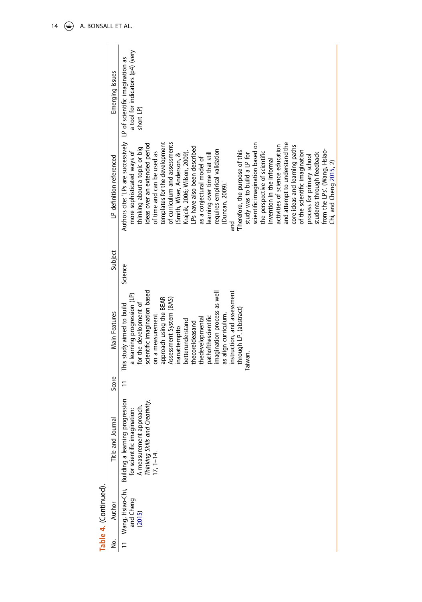<span id="page-13-0"></span>

| ġ | Author                                     | Title and Journal                                                                                                                                        | Score | Main Features                                                                                                                                                                                                                                                                                                                                                                                                            | Subject | LP definition referenced                                                                                                                                                                                                                                                                                                                                                                                                                                                                                                                                                                                                                                                                                                                                                                                                                                                                                           | Emerging issues                               |
|---|--------------------------------------------|----------------------------------------------------------------------------------------------------------------------------------------------------------|-------|--------------------------------------------------------------------------------------------------------------------------------------------------------------------------------------------------------------------------------------------------------------------------------------------------------------------------------------------------------------------------------------------------------------------------|---------|--------------------------------------------------------------------------------------------------------------------------------------------------------------------------------------------------------------------------------------------------------------------------------------------------------------------------------------------------------------------------------------------------------------------------------------------------------------------------------------------------------------------------------------------------------------------------------------------------------------------------------------------------------------------------------------------------------------------------------------------------------------------------------------------------------------------------------------------------------------------------------------------------------------------|-----------------------------------------------|
|   | 11 Wang, Hsiao-Chi,<br>and Cheng<br>(2015) | Building a learning progression<br>Creativity,<br>A measurement approach.<br>Thinking Skills and Creativit<br>for scientific imagination:<br>$17, 1-14.$ |       | scientific imagination based<br>instruction, and assessment<br>imagination process as well<br>a learning progression (LP)<br>approach using the BEAR<br>Assessment System (BAS)<br>for the development of<br>This study aimed to build<br>through LP. (abstract<br>as align curriculum,<br>on a measurement<br>pathofthescientific<br>thedevelopmental<br>betterunderstand<br>thecoreideasand<br>inanattemptto<br>Taiwan | Science | Authors cite: 'LPs are successively LP of scientific imagination as<br>ideas over an extended period<br>templates for the development<br>of curriculum and assessments<br>scientific imagination based on<br>and attempt to understand the<br>activities of science education<br>core ideas and learning paths<br>LPs have also been described<br>thinking about a topic or big<br>requires empirical validation<br>from the LPs'. (Wang, Hsiao-<br>of the scientific imagination<br>Therefore, the purpose of this<br>of time and can be used as<br>more sophisticated ways of<br>the perspective of scientific<br>learning over time that still<br>Krajcik, 2006; Wilson, 2009)<br>study was to build a LP for<br>students through feedback<br>(Smith, Wiser, Anderson, &<br>process for primary school<br>as a conjectural model of<br>invention in the informal<br>Chi, and Cheng 2015, 2)<br>(Duncan, 2009).' | a tool for indicators (p4) (very<br>short LP) |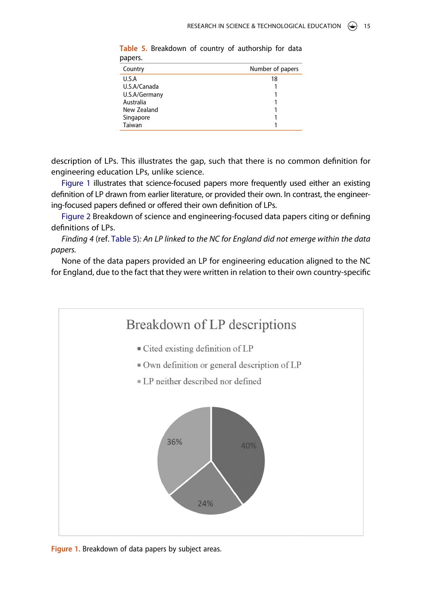| Country       | Number of papers |
|---------------|------------------|
| U.S.A         | 18               |
| U.S.A/Canada  |                  |
| U.S.A/Germany |                  |
| Australia     |                  |
| New Zealand   |                  |
| Singapore     |                  |
| Taiwan        |                  |

<span id="page-14-0"></span>**Table 5.** Breakdown of country of authorship for data papers.

description of LPs. This illustrates the gap, such that there is no common definition for engineering education LPs, unlike science.

[Figure 1](#page-14-1) illustrates that science-focused papers more frequently used either an existing definition of LP drawn from earlier literature, or provided their own. In contrast, the engineering-focused papers defined or offered their own definition of LPs.

[Figure 2](#page-15-0) Breakdown of science and engineering-focused data papers citing or defining definitions of LPs.

*Finding 4* (ref. [Table 5](#page-14-0))*: An LP linked to the NC for England did not emerge within the data papers.*

None of the data papers provided an LP for engineering education aligned to the NC for England, due to the fact that they were written in relation to their own country-specific

<span id="page-14-1"></span>

**Figure 1.** Breakdown of data papers by subject areas.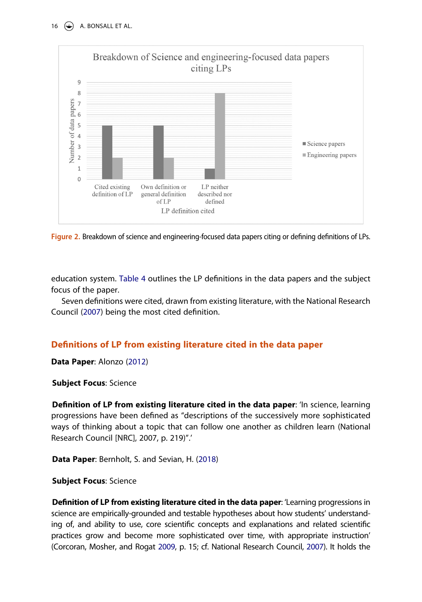<span id="page-15-0"></span>

**Figure 2.** Breakdown of science and engineering-focused data papers citing or defining definitions of LPs.

education system. [Table 4](#page-7-0) outlines the LP definitions in the data papers and the subject focus of the paper.

Seven definitions were cited, drawn from existing literature, with the National Research Council [\(2007\)](#page-22-12) being the most cited definition.

# **Definitions of LP from existing literature cited in the data paper**

**Data Paper**: Alonzo ([2012](#page-20-1))

**Subject Focus**: Science

**Definition of LP from existing literature cited in the data paper**: 'In science, learning progressions have been defined as "descriptions of the successively more sophisticated ways of thinking about a topic that can follow one another as children learn (National Research Council [NRC], 2007, p. 219)".'

<span id="page-15-1"></span>**Data Paper**: Bernholt, S. and Sevian, H. ([2018\)](#page-20-5)

#### **Subject Focus**: Science

<span id="page-15-2"></span>**Definition of LP from existing literature cited in the data paper**: 'Learning progressions in science are empirically-grounded and testable hypotheses about how students' understanding of, and ability to use, core scientific concepts and explanations and related scientific practices grow and become more sophisticated over time, with appropriate instruction' (Corcoran, Mosher, and Rogat [2009,](#page-21-1) p. 15; cf. National Research Council, [2007](#page-22-12)). It holds the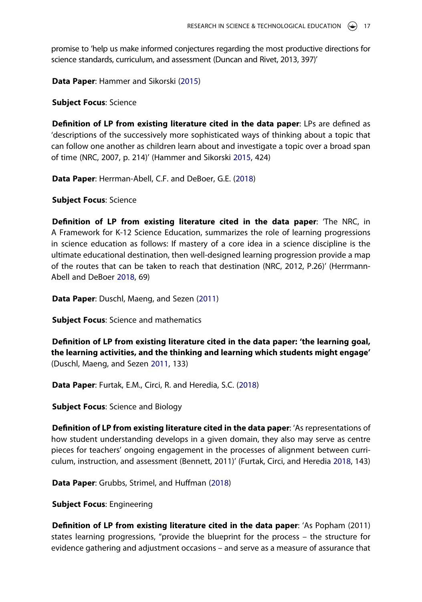promise to 'help us make informed conjectures regarding the most productive directions for science standards, curriculum, and assessment (Duncan and Rivet, 2013, 397)'

**Data Paper**: Hammer and Sikorski [\(2015\)](#page-21-14)

**Subject Focus**: Science

**Definition of LP from existing literature cited in the data paper**: LPs are defined as 'descriptions of the successively more sophisticated ways of thinking about a topic that can follow one another as children learn about and investigate a topic over a broad span of time (NRC, 2007, p. 214)' (Hammer and Sikorski [2015](#page-21-14), 424)

<span id="page-16-2"></span>**Data Paper**: Herrman-Abell, C.F. and DeBoer, G.E. ([2018](#page-21-13))

**Subject Focus**: Science

**Definition of LP from existing literature cited in the data paper**: 'The NRC, in A Framework for K-12 Science Education, summarizes the role of learning progressions in science education as follows: If mastery of a core idea in a science discipline is the ultimate educational destination, then well-designed learning progression provide a map of the routes that can be taken to reach that destination (NRC, 2012, P.26)' (Herrmann-Abell and DeBoer [2018](#page-21-13), 69)

**Data Paper**: Duschl, Maeng, and Sezen [\(2011](#page-21-15))

**Subject Focus**: Science and mathematics

<span id="page-16-0"></span>**Definition of LP from existing literature cited in the data paper: 'the learning goal, the learning activities, and the thinking and learning which students might engage'**  (Duschl, Maeng, and Sezen [2011](#page-21-15), 133)

**Data Paper**: Furtak, E.M., Circi, R. and Heredia, S.C. [\(2018\)](#page-21-16)

**Subject Focus**: Science and Biology

**Definition of LP from existing literature cited in the data paper**: 'As representations of how student understanding develops in a given domain, they also may serve as centre pieces for teachers' ongoing engagement in the processes of alignment between curriculum, instruction, and assessment (Bennett, 2011)' (Furtak, Circi, and Heredia [2018](#page-21-16), 143)

<span id="page-16-1"></span>**Data Paper**: Grubbs, Strimel, and Huffman ([2018](#page-21-12))

**Subject Focus**: Engineering

**Definition of LP from existing literature cited in the data paper**: 'As Popham (2011) states learning progressions, "provide the blueprint for the process – the structure for evidence gathering and adjustment occasions – and serve as a measure of assurance that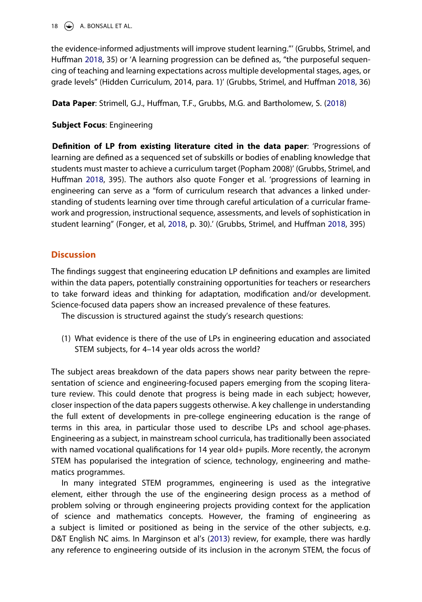18  $\bigcirc$  A. BONSALL ET AL.

the evidence-informed adjustments will improve student learning."' (Grubbs, Strimel, and Huffman [2018,](#page-21-12) 35) or 'A learning progression can be defined as, "the purposeful sequencing of teaching and learning expectations across multiple developmental stages, ages, or grade levels" (Hidden Curriculum, 2014, para. 1)' (Grubbs, Strimel, and Huffman [2018](#page-21-12), 36)

**Data Paper**: Strimell, G.J., Huffman, T.F., Grubbs, M.G. and Bartholomew, S. ([2018](#page-22-11))

# **Subject Focus**: Engineering

**Definition of LP from existing literature cited in the data paper**: 'Progressions of learning are defined as a sequenced set of subskills or bodies of enabling knowledge that students must master to achieve a curriculum target (Popham 2008)' (Grubbs, Strimel, and Huffman [2018,](#page-21-12) 395). The authors also quote Fonger et al. 'progressions of learning in engineering can serve as a "form of curriculum research that advances a linked understanding of students learning over time through careful articulation of a curricular framework and progression, instructional sequence, assessments, and levels of sophistication in student learning" (Fonger, et al, [2018](#page-21-11), p. 30).' (Grubbs, Strimel, and Huffman [2018,](#page-21-12) 395)

# **Discussion**

The findings suggest that engineering education LP definitions and examples are limited within the data papers, potentially constraining opportunities for teachers or researchers to take forward ideas and thinking for adaptation, modification and/or development. Science-focused data papers show an increased prevalence of these features.

The discussion is structured against the study's research questions:

(1) What evidence is there of the use of LPs in engineering education and associated STEM subjects, for 4–14 year olds across the world?

The subject areas breakdown of the data papers shows near parity between the representation of science and engineering-focused papers emerging from the scoping literature review. This could denote that progress is being made in each subject; however, closer inspection of the data papers suggests otherwise. A key challenge in understanding the full extent of developments in pre-college engineering education is the range of terms in this area, in particular those used to describe LPs and school age-phases. Engineering as a subject, in mainstream school curricula, has traditionally been associated with named vocational qualifications for 14 year old+ pupils. More recently, the acronym STEM has popularised the integration of science, technology, engineering and mathematics programmes.

<span id="page-17-0"></span>In many integrated STEM programmes, engineering is used as the integrative element, either through the use of the engineering design process as a method of problem solving or through engineering projects providing context for the application of science and mathematics concepts. However, the framing of engineering as a subject is limited or positioned as being in the service of the other subjects, e.g. D&T English NC aims. In Marginson et al's ([2013](#page-22-13)) review, for example, there was hardly any reference to engineering outside of its inclusion in the acronym STEM, the focus of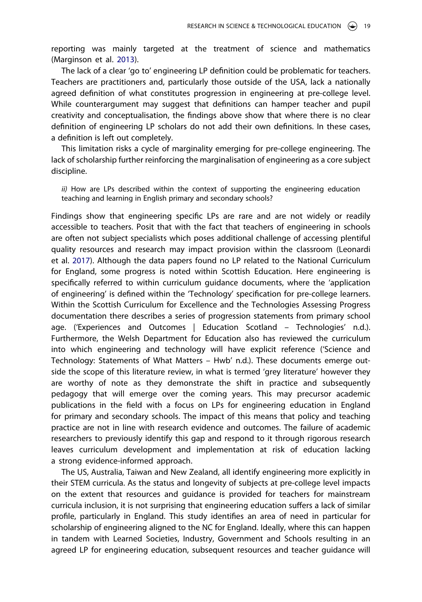reporting was mainly targeted at the treatment of science and mathematics (Marginson et al. [2013](#page-22-13)).

The lack of a clear 'go to' engineering LP definition could be problematic for teachers. Teachers are practitioners and, particularly those outside of the USA, lack a nationally agreed definition of what constitutes progression in engineering at pre-college level. While counterargument may suggest that definitions can hamper teacher and pupil creativity and conceptualisation, the findings above show that where there is no clear definition of engineering LP scholars do not add their own definitions. In these cases, a definition is left out completely.

This limitation risks a cycle of marginality emerging for pre-college engineering. The lack of scholarship further reinforcing the marginalisation of engineering as a core subject discipline.

*ii)* How are LPs described within the context of supporting the engineering education teaching and learning in English primary and secondary schools?

<span id="page-18-0"></span>Findings show that engineering specific LPs are rare and are not widely or readily accessible to teachers. Posit that with the fact that teachers of engineering in schools are often not subject specialists which poses additional challenge of accessing plentiful quality resources and research may impact provision within the classroom (Leonardi et al. [2017](#page-22-14)). Although the data papers found no LP related to the National Curriculum for England, some progress is noted within Scottish Education. Here engineering is specifically referred to within curriculum guidance documents, where the 'application of engineering' is defined within the 'Technology' specification for pre-college learners. Within the Scottish Curriculum for Excellence and the Technologies Assessing Progress documentation there describes a series of progression statements from primary school age. ('Experiences and Outcomes | Education Scotland – Technologies' n.d.). Furthermore, the Welsh Department for Education also has reviewed the curriculum into which engineering and technology will have explicit reference ('Science and Technology: Statements of What Matters – Hwb' n.d.). These documents emerge outside the scope of this literature review, in what is termed 'grey literature' however they are worthy of note as they demonstrate the shift in practice and subsequently pedagogy that will emerge over the coming years. This may precursor academic publications in the field with a focus on LPs for engineering education in England for primary and secondary schools. The impact of this means that policy and teaching practice are not in line with research evidence and outcomes. The failure of academic researchers to previously identify this gap and respond to it through rigorous research leaves curriculum development and implementation at risk of education lacking a strong evidence-informed approach.

The US, Australia, Taiwan and New Zealand, all identify engineering more explicitly in their STEM curricula. As the status and longevity of subjects at pre-college level impacts on the extent that resources and guidance is provided for teachers for mainstream curricula inclusion, it is not surprising that engineering education suffers a lack of similar profile, particularly in England. This study identifies an area of need in particular for scholarship of engineering aligned to the NC for England. Ideally, where this can happen in tandem with Learned Societies, Industry, Government and Schools resulting in an agreed LP for engineering education, subsequent resources and teacher guidance will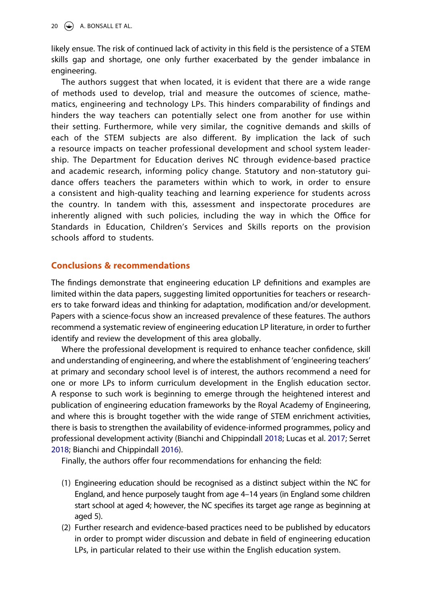20  $\left(\rightarrow\right)$  A. BONSALL ET AL.

likely ensue. The risk of continued lack of activity in this field is the persistence of a STEM skills gap and shortage, one only further exacerbated by the gender imbalance in engineering.

The authors suggest that when located, it is evident that there are a wide range of methods used to develop, trial and measure the outcomes of science, mathematics, engineering and technology LPs. This hinders comparability of findings and hinders the way teachers can potentially select one from another for use within their setting. Furthermore, while very similar, the cognitive demands and skills of each of the STEM subjects are also different. By implication the lack of such a resource impacts on teacher professional development and school system leadership. The Department for Education derives NC through evidence-based practice and academic research, informing policy change. Statutory and non-statutory guidance offers teachers the parameters within which to work, in order to ensure a consistent and high-quality teaching and learning experience for students across the country. In tandem with this, assessment and inspectorate procedures are inherently aligned with such policies, including the way in which the Office for Standards in Education, Children's Services and Skills reports on the provision schools afford to students.

### **Conclusions & recommendations**

The findings demonstrate that engineering education LP definitions and examples are limited within the data papers, suggesting limited opportunities for teachers or researchers to take forward ideas and thinking for adaptation, modification and/or development. Papers with a science-focus show an increased prevalence of these features. The authors recommend a systematic review of engineering education LP literature, in order to further identify and review the development of this area globally.

Where the professional development is required to enhance teacher confidence, skill and understanding of engineering, and where the establishment of 'engineering teachers' at primary and secondary school level is of interest, the authors recommend a need for one or more LPs to inform curriculum development in the English education sector. A response to such work is beginning to emerge through the heightened interest and publication of engineering education frameworks by the Royal Academy of Engineering, and where this is brought together with the wide range of STEM enrichment activities, there is basis to strengthen the availability of evidence-informed programmes, policy and professional development activity (Bianchi and Chippindall [2018](#page-20-0); Lucas et al. [2017;](#page-22-1) Serret [2018;](#page-22-15) Bianchi and Chippindall [2016\)](#page-20-6).

<span id="page-19-1"></span><span id="page-19-0"></span>Finally, the authors offer four recommendations for enhancing the field:

- (1) Engineering education should be recognised as a distinct subject within the NC for England, and hence purposely taught from age 4–14 years (in England some children start school at aged 4; however, the NC specifies its target age range as beginning at aged 5).
- (2) Further research and evidence-based practices need to be published by educators in order to prompt wider discussion and debate in field of engineering education LPs, in particular related to their use within the English education system.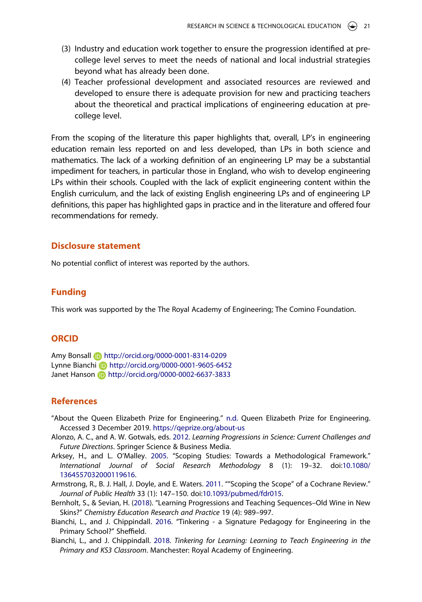- (3) Industry and education work together to ensure the progression identified at precollege level serves to meet the needs of national and local industrial strategies beyond what has already been done.
- (4) Teacher professional development and associated resources are reviewed and developed to ensure there is adequate provision for new and practicing teachers about the theoretical and practical implications of engineering education at precollege level.

From the scoping of the literature this paper highlights that, overall, LP's in engineering education remain less reported on and less developed, than LPs in both science and mathematics. The lack of a working definition of an engineering LP may be a substantial impediment for teachers, in particular those in England, who wish to develop engineering LPs within their schools. Coupled with the lack of explicit engineering content within the English curriculum, and the lack of existing English engineering LPs and of engineering LP definitions, this paper has highlighted gaps in practice and in the literature and offered four recommendations for remedy.

### **Disclosure statement**

No potential conflict of interest was reported by the authors.

# **Funding**

This work was supported by the The Royal Academy of Engineering; The Comino Foundation.

#### **ORCID**

Amy Bonsall **b** http://orcid.org/0000-0001-8314-0209 Lynne Bianchi **b** http://orcid.org/0000-0001-9605-6452 Janet Hanson **iD** http://orcid.org/0000-0002-6637-3833

# **References**

- <span id="page-20-2"></span>"About the Queen Elizabeth Prize for Engineering." [n.d.](#page-2-0) Queen Elizabeth Prize for Engineering. Accessed 3 December 2019. <https://qeprize.org/about-us>
- <span id="page-20-1"></span>Alonzo, A. C., and A. W. Gotwals, eds. [2012.](#page-1-0) *Learning Progressions in Science: Current Challenges and Future Directions*. Springer Science & Business Media.
- <span id="page-20-4"></span>Arksey, H., and L. O'Malley. [2005.](#page-3-0) "Scoping Studies: Towards a Methodological Framework." *International Journal of Social Research Methodology* 8 (1): 19–32. doi:[10.1080/](https://doi.org/10.1080/1364557032000119616) [1364557032000119616.](https://doi.org/10.1080/1364557032000119616)
- <span id="page-20-3"></span>Armstrong, R., B. J. Hall, J. Doyle, and E. Waters. [2011.](#page-3-1) ""Scoping the Scope" of a Cochrane Review." *Journal of Public Health* 33 (1): 147–150. doi:[10.1093/pubmed/fdr015](https://doi.org/10.1093/pubmed/fdr015).
- <span id="page-20-5"></span>Bernholt, S., & Sevian, H. [\(2018\)](#page-15-1). "Learning Progressions and Teaching Sequences–Old Wine in New Skins?" *Chemistry Education Research and Practice* 19 (4): 989–997.
- <span id="page-20-6"></span>Bianchi, L., and J. Chippindall. [2016](#page-19-0). "Tinkering - a Signature Pedagogy for Engineering in the Primary School?" Sheffield.
- <span id="page-20-0"></span>Bianchi, L., and J. Chippindall. [2018](#page-1-1). *Tinkering for Learning: Learning to Teach Engineering in the Primary and KS3 Classroom*. Manchester: Royal Academy of Engineering.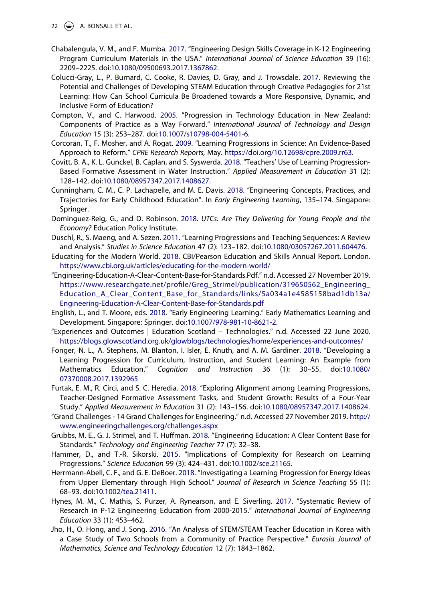- 22  $\left(\rightarrow\right)$  A. BONSALL ET AL.
- <span id="page-21-3"></span>Chabalengula, V. M., and F. Mumba. [2017.](#page-2-1) "Engineering Design Skills Coverage in K-12 Engineering Program Curriculum Materials in the USA." *International Journal of Science Education* 39 (16): 2209–2225. doi:[10.1080/09500693.2017.1367862.](https://doi.org/10.1080/09500693.2017.1367862)
- <span id="page-21-4"></span>Colucci-Gray, L., P. Burnard, C. Cooke, R. Davies, D. Gray, and J. Trowsdale. [2017.](#page-2-1) Reviewing the Potential and Challenges of Developing STEAM Education through Creative Pedagogies for 21st Learning: How Can School Curricula Be Broadened towards a More Responsive, Dynamic, and Inclusive Form of Education?
- <span id="page-21-8"></span>Compton, V., and C. Harwood. [2005.](#page-7-1) "Progression in Technology Education in New Zealand: Components of Practice as a Way Forward." *International Journal of Technology and Design Education* 15 (3): 253–287. doi:[10.1007/s10798-004-5401-6](https://doi.org/10.1007/s10798-004-5401-6).
- <span id="page-21-1"></span>Corcoran, T., F. Mosher, and A. Rogat. [2009.](#page-1-2) "Learning Progressions in Science: An Evidence-Based Approach to Reform." *CPRE Research Reports,* May. [https://doi.org/10.12698/cpre.2009.rr63.](https://doi.org/10.12698/cpre.2009.rr63)
- <span id="page-21-9"></span>Covitt, B. A., K. L. Gunckel, B. Caplan, and S. Syswerda. [2018.](#page-7-2) "Teachers' Use of Learning Progression-Based Formative Assessment in Water Instruction." *Applied Measurement in Education* 31 (2): 128–142. doi:[10.1080/08957347.2017.1408627.](https://doi.org/10.1080/08957347.2017.1408627)
- <span id="page-21-10"></span>Cunningham, C. M., C. P. Lachapelle, and M. E. Davis. [2018](#page-7-3). "Engineering Concepts, Practices, and Trajectories for Early Childhood Education". In *Early Engineering Learning*, 135–174. Singapore: Springer.
- <span id="page-21-6"></span>Dominguez-Reig, G., and D. Robinson. [2018](#page-2-2). *UTCs: Are They Delivering for Young People and the Economy?* Education Policy Institute.
- <span id="page-21-15"></span>Duschl, R., S. Maeng, and A. Sezen. [2011](#page-16-0). "Learning Progressions and Teaching Sequences: A Review and Analysis." *Studies in Science Education* 47 (2): 123–182. doi:[10.1080/03057267.2011.604476](https://doi.org/10.1080/03057267.2011.604476).
- <span id="page-21-2"></span>Educating for the Modern World. [2018.](#page-2-3) CBI/Pearson Education and Skills Annual Report. London. <https://www.cbi.org.uk/articles/educating-for-the-modern-world/>
- "Engineering-Education-A-Clear-Content-Base-for-Standards.Pdf." n.d. Accessed 27 November 2019. [https://www.researchgate.net/profile/Greg\\_Strimel/publication/319650562\\_Engineering\\_](https://www.researchgate.net/profile/Greg_Strimel/publication/319650562_Engineering_Education_A_Clear_Content_Base_for_Standards/links/5a034a1e4585158bad1db13a/Engineering-Education-A-Clear-Content-Base-for-Standards.pdf) [Education\\_A\\_Clear\\_Content\\_Base\\_for\\_Standards/links/5a034a1e4585158bad1db13a/](https://www.researchgate.net/profile/Greg_Strimel/publication/319650562_Engineering_Education_A_Clear_Content_Base_for_Standards/links/5a034a1e4585158bad1db13a/Engineering-Education-A-Clear-Content-Base-for-Standards.pdf)  [Engineering-Education-A-Clear-Content-Base-for-Standards.pdf](https://www.researchgate.net/profile/Greg_Strimel/publication/319650562_Engineering_Education_A_Clear_Content_Base_for_Standards/links/5a034a1e4585158bad1db13a/Engineering-Education-A-Clear-Content-Base-for-Standards.pdf)
- <span id="page-21-7"></span>English, L., and T. Moore, eds. [2018.](#page-5-1) "Early Engineering Learning." Early Mathematics Learning and Development. Singapore: Springer. doi:[10.1007/978-981-10-8621-2.](https://doi.org/10.1007/978-981-10-8621-2)
- "Experiences and Outcomes | Education Scotland Technologies." n.d. Accessed 22 June 2020. <https://blogs.glowscotland.org.uk/glowblogs/technologies/home/experiences-and-outcomes/>
- <span id="page-21-11"></span>Fonger, N. L., A. Stephens, M. Blanton, I. Isler, E. Knuth, and A. M. Gardiner. [2018.](#page-8-0) "Developing a Learning Progression for Curriculum, Instruction, and Student Learning: An Example from<br>Mathematics Education." *Coanition and Instruction* 36 (1): 30–55. doi:10.1080/ Mathematics Education." *Cognition and Instruction* 36 (1): 30–55. doi:[10.1080/](https://doi.org/10.1080/07370008.2017.1392965) [07370008.2017.1392965](https://doi.org/10.1080/07370008.2017.1392965)
- <span id="page-21-16"></span>Furtak, E. M., R. Circi, and S. C. Heredia. [2018](#page-16-1). "Exploring Alignment among Learning Progressions, Teacher-Designed Formative Assessment Tasks, and Student Growth: Results of a Four-Year Study." *Applied Measurement in Education* 31 (2): 143–156. doi:[10.1080/08957347.2017.1408624.](https://doi.org/10.1080/08957347.2017.1408624)
- "Grand Challenges 14 Grand Challenges for Engineering." n.d. Accessed 27 November 2019. [http://](http://www.engineeringchallenges.org/challenges.aspx) [www.engineeringchallenges.org/challenges.aspx](http://www.engineeringchallenges.org/challenges.aspx)
- <span id="page-21-12"></span>Grubbs, M. E., G. J. Strimel, and T. Huffman. [2018](#page-9-0). "Engineering Education: A Clear Content Base for Standards." *Technology and Engineering Teacher* 77 (7): 32–38.
- <span id="page-21-14"></span>Hammer, D., and T.-R. Sikorski. [2015.](#page-16-2) "Implications of Complexity for Research on Learning Progressions." *Science Education* 99 (3): 424–431. doi:[10.1002/sce.21165](https://doi.org/10.1002/sce.21165).
- <span id="page-21-13"></span>Herrmann-Abell, C. F., and G. E. DeBoer. [2018](#page-10-0). "Investigating a Learning Progression for Energy Ideas from Upper Elementary through High School." *Journal of Research in Science Teaching* 55 (1): 68–93. doi:[10.1002/tea.21411.](https://doi.org/10.1002/tea.21411)
- <span id="page-21-0"></span>Hynes, M. M., C. Mathis, S. Purzer, A. Rynearson, and E. Siverling. [2017](#page-1-3). "Systematic Review of Research in P-12 Engineering Education from 2000-2015." *International Journal of Engineering Education* 33 (1): 453–462.
- <span id="page-21-5"></span>Jho, H., O. Hong, and J. Song. [2016](#page-2-4). "An Analysis of STEM/STEAM Teacher Education in Korea with a Case Study of Two Schools from a Community of Practice Perspective." *Eurasia Journal of Mathematics, Science and Technology Education* 12 (7): 1843–1862.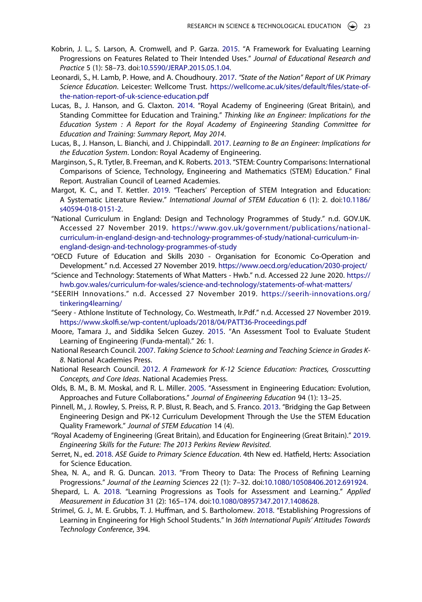- <span id="page-22-3"></span>Kobrin, J. L., S. Larson, A. Cromwell, and P. Garza. [2015](#page-3-2). "A Framework for Evaluating Learning Progressions on Features Related to Their Intended Uses." *Journal of Educational Research and Practice* 5 (1): 58–73. doi:[10.5590/JERAP.2015.05.1.04](https://doi.org/10.5590/JERAP.2015.05.1.04).
- <span id="page-22-14"></span>Leonardi, S., H. Lamb, P. Howe, and A. Choudhoury. [2017.](#page-18-0) *"State of the Nation" Report of UK Primary Science Education*. Leicester: Wellcome Trust. [https://wellcome.ac.uk/sites/default/files/state-of](https://wellcome.ac.uk/sites/default/files/state-of-the-nation-report-of-uk-science-education.pdf)[the-nation-report-of-uk-science-education.pdf](https://wellcome.ac.uk/sites/default/files/state-of-the-nation-report-of-uk-science-education.pdf)
- <span id="page-22-0"></span>Lucas, B., J. Hanson, and G. Claxton. [2014.](#page-1-4) "Royal Academy of Engineering (Great Britain), and Standing Committee for Education and Training." *Thinking like an Engineer: Implications for the Education System : A Report for the Royal Academy of Engineering Standing Committee for Education and Training: Summary Report, May 2014*.
- <span id="page-22-1"></span>Lucas, B., J. Hanson, L. Bianchi, and J. Chippindall. [2017](#page-1-4). *Learning to Be an Engineer: Implications for the Education System*. London: Royal Academy of Engineering.
- <span id="page-22-13"></span>Marginson, S., R. Tytler, B. Freeman, and K. Roberts. [2013.](#page-17-0) "STEM: Country Comparisons: International Comparisons of Science, Technology, Engineering and Mathematics (STEM) Education." Final Report. Australian Council of Learned Academies.
- <span id="page-22-6"></span>Margot, K. C., and T. Kettler. [2019](#page-3-3). "Teachers' Perception of STEM Integration and Education: A Systematic Literature Review." *International Journal of STEM Education* 6 (1): 2. doi:[10.1186/](https://doi.org/10.1186/s40594-018-0151-2) [s40594-018-0151-2.](https://doi.org/10.1186/s40594-018-0151-2)
- "National Curriculum in England: Design and Technology Programmes of Study." n.d. GOV.UK. Accessed 27 November 2019. [https://www.gov.uk/government/publications/national](https://www.gov.uk/government/publications/national-curriculum-in-england-design-and-technology-programmes-of-study/national-curriculum-in-england-design-and-technology-programmes-of-study)[curriculum-in-england-design-and-technology-programmes-of-study/national-curriculum-in](https://www.gov.uk/government/publications/national-curriculum-in-england-design-and-technology-programmes-of-study/national-curriculum-in-england-design-and-technology-programmes-of-study)[england-design-and-technology-programmes-of-study](https://www.gov.uk/government/publications/national-curriculum-in-england-design-and-technology-programmes-of-study/national-curriculum-in-england-design-and-technology-programmes-of-study)
- "OECD Future of Education and Skills 2030 Organisation for Economic Co-Operation and Development." n.d. Accessed 27 November 2019. <https://www.oecd.org/education/2030-project/>
- "Science and Technology: Statements of What Matters Hwb." n.d. Accessed 22 June 2020. [https://](https://hwb.gov.wales/curriculum-for-wales/science-and-technology/statements-of-what-matters/) [hwb.gov.wales/curriculum-for-wales/science-and-technology/statements-of-what-matters/](https://hwb.gov.wales/curriculum-for-wales/science-and-technology/statements-of-what-matters/)
- "SEERIH Innovations." n.d. Accessed 27 November 2019. [https://seerih-innovations.org/](https://seerih-innovations.org/tinkering4learning/)  [tinkering4learning/](https://seerih-innovations.org/tinkering4learning/)
- "Seery Athlone Institute of Technology, Co. Westmeath, Ir.Pdf." n.d. Accessed 27 November 2019. <https://www.skolfi.se/wp-content/uploads/2018/04/PATT36-Proceedings.pdf>
- <span id="page-22-8"></span>Moore, Tamara J., and Siddika Selcen Guzey. [2015](#page-10-1). "An Assessment Tool to Evaluate Student Learning of Engineering (Funda-mental)." 26: 1.
- <span id="page-22-12"></span>National Research Council. [2007.](#page-15-2) *Taking Science to School: Learning and Teaching Science in Grades K-8*. National Academies Press.
- <span id="page-22-7"></span>National Research Council. [2012](#page-10-2). *A Framework for K-12 Science Education: Practices, Crosscutting Concepts, and Core Ideas*. National Academies Press.
- <span id="page-22-9"></span>Olds, B. M., B. M. Moskal, and R. L. Miller. [2005.](#page-11-0) "Assessment in Engineering Education: Evolution, Approaches and Future Collaborations." *Journal of Engineering Education* 94 (1): 13–25.
- <span id="page-22-10"></span>Pinnell, M., J. Rowley, S. Preiss, R. P. Blust, R. Beach, and S. Franco. [2013](#page-11-1). "Bridging the Gap Between Engineering Design and PK-12 Curriculum Development Through the Use the STEM Education Quality Framework." *Journal of STEM Education* 14 (4).
- <span id="page-22-2"></span>"Royal Academy of Engineering (Great Britain), and Education for Engineering (Great Britain)." [2019](#page-2-5). *Engineering Skills for the Future: The 2013 Perkins Review Revisited*.
- <span id="page-22-15"></span>Serret, N., ed. [2018.](#page-19-1) *ASE Guide to Primary Science Education*. 4th New ed. Hatfield, Herts: Association for Science Education.
- <span id="page-22-4"></span>Shea, N. A., and R. G. Duncan. [2013](#page-3-2). "From Theory to Data: The Process of Refining Learning Progressions." *Journal of the Learning Sciences* 22 (1): 7–32. doi:[10.1080/10508406.2012.691924](https://doi.org/10.1080/10508406.2012.691924).
- <span id="page-22-5"></span>Shepard, L. A. [2018.](#page-3-4) "Learning Progressions as Tools for Assessment and Learning." *Applied Measurement in Education* 31 (2): 165–174. doi:[10.1080/08957347.2017.1408628](https://doi.org/10.1080/08957347.2017.1408628).
- <span id="page-22-11"></span>Strimel, G. J., M. E. Grubbs, T. J. Huffman, and S. Bartholomew. [2018](#page-12-0). "Establishing Progressions of Learning in Engineering for High School Students." In *36th International Pupils' Attitudes Towards Technology Conference*, 394.